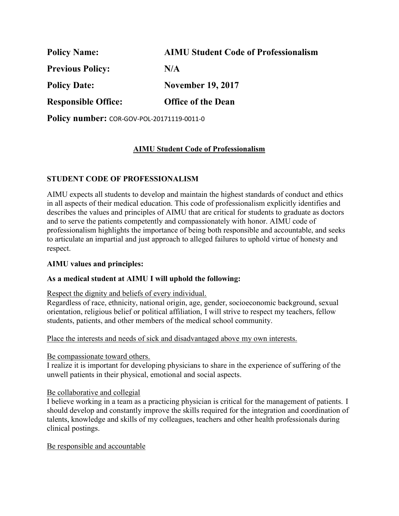| <b>Policy Name:</b>        | <b>AIMU Student Code of Professionalism</b> |
|----------------------------|---------------------------------------------|
| <b>Previous Policy:</b>    | N/A                                         |
| <b>Policy Date:</b>        | <b>November 19, 2017</b>                    |
| <b>Responsible Office:</b> | <b>Office of the Dean</b>                   |

**Policy number:** COR-GOV-POL-20171119-0011-0

# **AIMU Student Code of Professionalism**

## **STUDENT CODE OF PROFESSIONALISM**

AIMU expects all students to develop and maintain the highest standards of conduct and ethics in all aspects of their medical education. This code of professionalism explicitly identifies and describes the values and principles of AIMU that are critical for students to graduate as doctors and to serve the patients competently and compassionately with honor. AIMU code of professionalism highlights the importance of being both responsible and accountable, and seeks to articulate an impartial and just approach to alleged failures to uphold virtue of honesty and respect.

### **AIMU values and principles:**

### **As a medical student at AIMU I will uphold the following:**

Respect the dignity and beliefs of every individual.

Regardless of race, ethnicity, national origin, age, gender, socioeconomic background, sexual orientation, religious belief or political affiliation, I will strive to respect my teachers, fellow students, patients, and other members of the medical school community.

Place the interests and needs of sick and disadvantaged above my own interests.

Be compassionate toward others.

I realize it is important for developing physicians to share in the experience of suffering of the unwell patients in their physical, emotional and social aspects.

### Be collaborative and collegial

I believe working in a team as a practicing physician is critical for the management of patients. I should develop and constantly improve the skills required for the integration and coordination of talents, knowledge and skills of my colleagues, teachers and other health professionals during clinical postings.

Be responsible and accountable